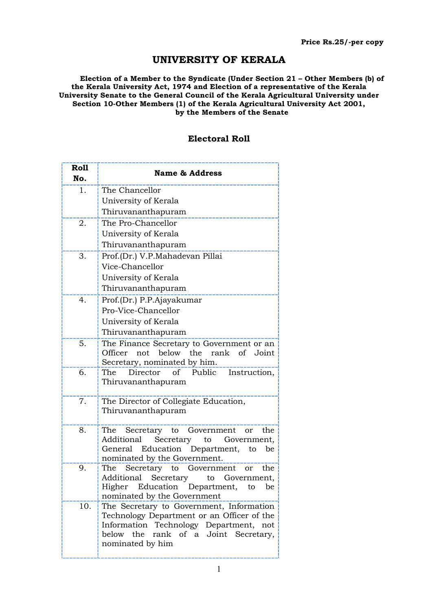## UNIVERSITY OF KERALA

Election of a Member to the Syndicate (Under Section 21 – Other Members (b) of the Kerala University Act, 1974 and Election of a representative of the Kerala University Senate to the General Council of the Kerala Agricultural University under Section 10-Other Members (1) of the Kerala Agricultural University Act 2001, by the Members of the Senate

## Electoral Roll

| <b>Roll</b><br>No. | <b>Name &amp; Address</b>                                                                    |
|--------------------|----------------------------------------------------------------------------------------------|
| 1.                 | The Chancellor                                                                               |
|                    | University of Kerala                                                                         |
|                    | Thiruvananthapuram                                                                           |
| 2.                 | The Pro-Chancellor                                                                           |
|                    | University of Kerala                                                                         |
|                    | Thiruvananthapuram                                                                           |
| 3.                 | Prof.(Dr.) V.P.Mahadevan Pillai                                                              |
|                    | Vice-Chancellor                                                                              |
|                    | University of Kerala                                                                         |
|                    | Thiruvananthapuram                                                                           |
| 4.                 | Prof.(Dr.) P.P.Ajayakumar                                                                    |
|                    | Pro-Vice-Chancellor                                                                          |
|                    | University of Kerala                                                                         |
|                    | Thiruvananthapuram                                                                           |
| 5.                 | The Finance Secretary to Government or an                                                    |
|                    | not below the<br>rank of<br>Joint<br>Officer                                                 |
| 6.                 | Secretary, nominated by him.<br>of Public<br>Director<br>The<br>Instruction,                 |
|                    | Thiruvananthapuram                                                                           |
|                    |                                                                                              |
| 7.                 | The Director of Collegiate Education,                                                        |
|                    | Thiruvananthapuram                                                                           |
|                    |                                                                                              |
| 8.                 | The Secretary to Government<br>the<br>or                                                     |
|                    | Secretary<br>Additional<br>Government,<br>to<br>Education Department,<br>General<br>be<br>to |
|                    | nominated by the Government.                                                                 |
| 9.                 | Secretary to<br>Government<br>The<br>the<br>or                                               |
|                    | Additional Secretary<br>to<br>Government,                                                    |
|                    | Higher Education Department, to<br>be                                                        |
|                    | nominated by the Government                                                                  |
| 10.                | The Secretary to Government, Information<br>Technology Department or an Officer of the       |
|                    | Information Technology Department, not                                                       |
|                    | the<br>rank of a Joint Secretary,<br>below                                                   |
|                    | nominated by him                                                                             |
|                    |                                                                                              |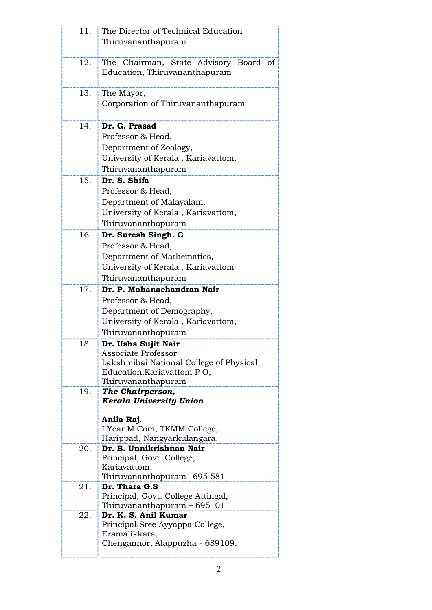| 11. | The Director of Technical Education                                   |
|-----|-----------------------------------------------------------------------|
|     | Thiruvananthapuram                                                    |
|     |                                                                       |
| 12. | The Chairman, State Advisory Board<br><sub>of</sub>                   |
|     | Education, Thiruvananthapuram                                         |
|     |                                                                       |
| 13. | The Mayor,                                                            |
|     | Corporation of Thiruvananthapuram                                     |
|     |                                                                       |
| 14. | Dr. G. Prasad                                                         |
|     | Professor & Head,                                                     |
|     | Department of Zoology,                                                |
|     | University of Kerala, Kariavattom,                                    |
|     | Thiruvananthapuram                                                    |
| 15. | Dr. S. Shifa                                                          |
|     | Professor & Head,                                                     |
|     | Department of Malayalam,                                              |
|     | University of Kerala, Kariavattom,                                    |
|     | Thiruvananthapuram                                                    |
| 16. | Dr. Suresh Singh. G                                                   |
|     | Professor & Head,                                                     |
|     | Department of Mathematics,                                            |
|     | University of Kerala, Kariavattom                                     |
|     | Thiruvananthapuram                                                    |
| 17. | Dr. P. Mohanachandran Nair                                            |
|     | Professor & Head,                                                     |
|     | Department of Demography,                                             |
|     | University of Kerala, Kariavattom,                                    |
|     | Thiruvananthapuram                                                    |
| 18. | Dr. Usha Sujit Nair                                                   |
|     | <b>Associate Professor</b>                                            |
|     | Lakshmibai National College of Physical<br>Education, Kariavattom PO, |
|     | Thiruvananthapuram                                                    |
| 19. | The Chairperson,                                                      |
|     | Kerala University Union                                               |
|     |                                                                       |
|     | Anila Raj,                                                            |
|     | I Year M.Com, TKMM College,<br>Harippad, Nangyarkulangara.            |
| 20. | Dr. B. Unnikrishnan Nair                                              |
|     | Principal, Govt. College,                                             |
|     | Kariavattom,                                                          |
|     | Thiruvananthapuram -695 581                                           |
| 21. | Dr. Thara G.S                                                         |
|     | Principal, Govt. College Attingal,                                    |
| 22. | Thiruvananthapuram - 695101<br>Dr. K. S. Anil Kumar                   |
|     | Principal, Sree Ayyappa College,                                      |
|     | Eramalikkara,                                                         |
|     | Chengannor, Alappuzha - 689109.                                       |
|     |                                                                       |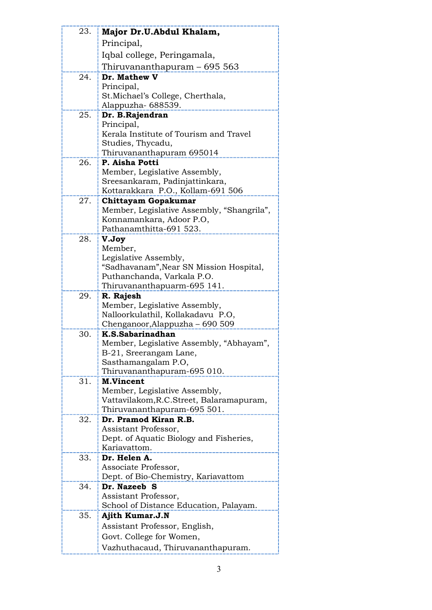|     | Major Dr.U.Abdul Khalam,                                      |
|-----|---------------------------------------------------------------|
|     | Principal,                                                    |
|     | Iqbal college, Peringamala,                                   |
|     | Thiruvananthapuram – 695 563                                  |
| 24. | Dr. Mathew V                                                  |
|     | Principal,                                                    |
|     | St. Michael's College, Cherthala,                             |
|     | Alappuzha- 688539.                                            |
| 25. | Dr. B.Rajendran                                               |
|     | Principal,                                                    |
|     | Kerala Institute of Tourism and Travel                        |
|     | Studies, Thycadu,                                             |
| 26. | Thiruvananthapuram 695014<br>P. Aisha Potti                   |
|     | Member, Legislative Assembly,                                 |
|     | Sreesankaram, Padinjattinkara,                                |
|     | Kottarakkara P.O., Kollam-691 506                             |
| 27. | <b>Chittayam Gopakumar</b>                                    |
|     | Member, Legislative Assembly, "Shangrila",                    |
|     | Konnamankara, Adoor P.O,                                      |
|     | Pathanamthitta-691 523.                                       |
| 28. | V.Joy                                                         |
|     | Member,                                                       |
|     | Legislative Assembly,                                         |
|     | "Sadhavanam", Near SN Mission Hospital,                       |
|     | Puthanchanda, Varkala P.O.<br>Thiruvananthapuarm-695 141.     |
| 29. | R. Rajesh                                                     |
|     | Member, Legislative Assembly,                                 |
|     | Nalloorkulathil, Kollakadavu P.O,                             |
|     | Chenganoor, Alappuzha - 690 509                               |
| 30. | K.S.Sabarinadhan                                              |
|     |                                                               |
|     | Member, Legislative Assembly, "Abhayam",                      |
|     | B-21, Sreerangam Lane,                                        |
|     | Sasthamangalam P.O,                                           |
|     | Thiruvananthapuram-695 010.                                   |
| 31. | <b>M.Vincent</b>                                              |
|     | Member, Legislative Assembly,                                 |
|     | Vattavilakom, R.C. Street, Balaramapuram,                     |
| 32. | Thiruvananthapuram-695 501.<br>Dr. Pramod Kiran R.B.          |
|     | Assistant Professor,                                          |
|     | Dept. of Aquatic Biology and Fisheries,                       |
|     | Kariavattom.                                                  |
| 33. | Dr. Helen A.                                                  |
|     | Associate Professor,                                          |
|     | Dept. of Bio-Chemistry, Kariavattom                           |
| 34. | Dr. Nazeeb S                                                  |
|     | Assistant Professor,                                          |
|     | School of Distance Education, Palayam.                        |
| 35. | Ajith Kumar.J.N                                               |
|     | Assistant Professor, English,                                 |
|     | Govt. College for Women,<br>Vazhuthacaud, Thiruvananthapuram. |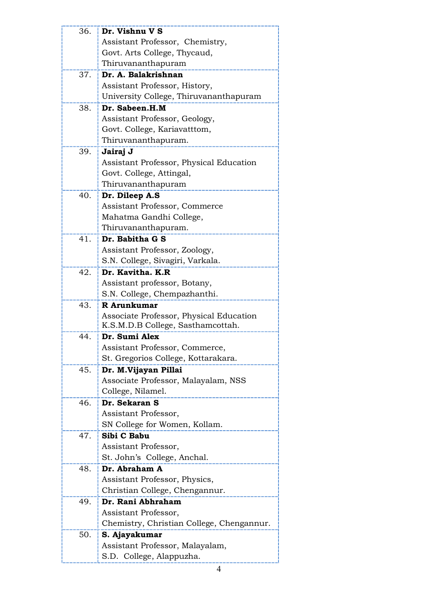| 36. | Dr. Vishnu V S                            |
|-----|-------------------------------------------|
|     | Assistant Professor, Chemistry,           |
|     | Govt. Arts College, Thycaud,              |
|     | Thiruvananthapuram                        |
| 37. | Dr. A. Balakrishnan                       |
|     | Assistant Professor, History,             |
|     | University College, Thiruvananthapuram    |
| 38. | Dr. Sabeen.H.M                            |
|     | Assistant Professor, Geology,             |
|     | Govt. College, Kariavatttom,              |
|     | Thiruvananthapuram.                       |
| 39. | Jairaj J                                  |
|     | Assistant Professor, Physical Education   |
|     | Govt. College, Attingal,                  |
|     | Thiruvananthapuram                        |
| 40. | Dr. Dileep A.S                            |
|     | Assistant Professor, Commerce             |
|     | Mahatma Gandhi College,                   |
|     | Thiruvananthapuram.                       |
| 41. | Dr. Babitha G S                           |
|     | Assistant Professor, Zoology,             |
|     | S.N. College, Sivagiri, Varkala.          |
| 42. | Dr. Kavitha, K.R.                         |
|     | Assistant professor, Botany,              |
|     | S.N. College, Chempazhanthi.              |
| 43. | R Arunkumar                               |
|     | Associate Professor, Physical Education   |
|     | K.S.M.D.B College, Sasthamcottah.         |
| 44. | Dr. Sumi Alex                             |
|     | Assistant Professor, Commerce,            |
|     | St. Gregorios College, Kottarakara.       |
| 45. | Dr. M.Vijayan Pillai                      |
|     | Associate Professor, Malayalam, NSS       |
|     | College, Nilamel.                         |
|     | 46. Dr. Sekaran S                         |
|     | Assistant Professor,                      |
|     | SN College for Women, Kollam.             |
| 47. | Sibi C Babu                               |
|     | Assistant Professor,                      |
|     | St. John's College, Anchal.               |
| 48. | Dr. Abraham A                             |
|     | Assistant Professor, Physics,             |
|     | Christian College, Chengannur.            |
| 49. | Dr. Rani Abhraham                         |
|     | Assistant Professor,                      |
|     | Chemistry, Christian College, Chengannur. |
| 50. | S. Ajayakumar                             |
|     | Assistant Professor, Malayalam,           |
|     | S.D. College, Alappuzha.                  |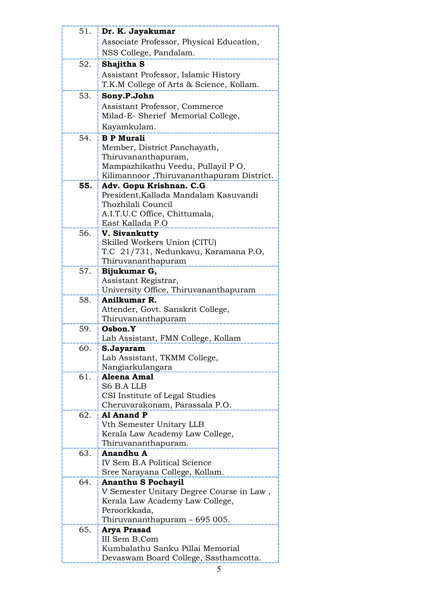| 51. | Dr. K. Jayakumar                                  |
|-----|---------------------------------------------------|
|     | Associate Professor, Physical Education,          |
|     | NSS College, Pandalam.                            |
| 52. | Shajitha S                                        |
|     | Assistant Professor, Islamic History              |
|     | T.K.M College of Arts & Science, Kollam.          |
|     |                                                   |
| 53. | Sony.P.John                                       |
|     | Assistant Professor, Commerce                     |
|     | Milad-E- Sherief Memorial College,                |
|     | Kayamkulam.                                       |
| 54. | <b>B P Murali</b>                                 |
|     | Member, District Panchayath,                      |
|     | Thiruvananthapuram,                               |
|     | Mampazhikathu Veedu, Pullayil PO,                 |
|     | Kilimannoor, Thiruvananthapuram District.         |
| 55. | Adv. Gopu Krishnan. C.G                           |
|     | President, Kallada Mandalam Kasuvandi             |
|     | Thozhilali Council                                |
|     | A.I.T.U.C Office, Chittumala,<br>East Kallada P.O |
| 56. | V. Sivankutty                                     |
|     | Skilled Workers Union (CITU)                      |
|     | T.C 21/731, Nedunkavu, Karamana P.O,              |
|     | Thiruvananthapuram                                |
| 57. | Bijukumar G,                                      |
|     | Assistant Registrar,                              |
|     | University Office, Thiruvananthapuram             |
| 58. | Anilkumar R.                                      |
|     | Attender, Govt. Sanskrit College,                 |
|     | Thiruvananthapuram                                |
| 59. | Osbon.Y                                           |
|     | Lab Assistant, FMN College, Kollam                |
| 60. | S.Jayaram                                         |
|     | Lab Assistant, TKMM College,                      |
|     | Nangiarkulangara                                  |
| 61. | Aleena Amal                                       |
|     | S6 B.A LLB                                        |
|     | CSI Institute of Legal Studies                    |
|     | Cheruvarakonam, Parassala P.O.                    |
| 62. | Al Anand P                                        |
|     | Vth Semester Unitary LLB                          |
|     | Kerala Law Academy Law College,                   |
|     | Thiruvananthapuram.                               |
| 63. | <b>Anandhu A</b>                                  |
|     | <b>IV Sem B.A Political Science</b>               |
|     | Sree Narayana College, Kollam.                    |
| 64. | <b>Ananthu S Pochayil</b>                         |
|     | V Semester Unitary Degree Course in Law,          |
|     | Kerala Law Academy Law College,<br>Peroorkkada,   |
|     | Thiruvananthapuram – 695 005.                     |
| 65. | Arya Prasad                                       |
|     | III Sem B.Com                                     |
|     | Kumbalathu Sanku Pillai Memorial                  |
|     | Devaswam Board College, Sasthamcotta.             |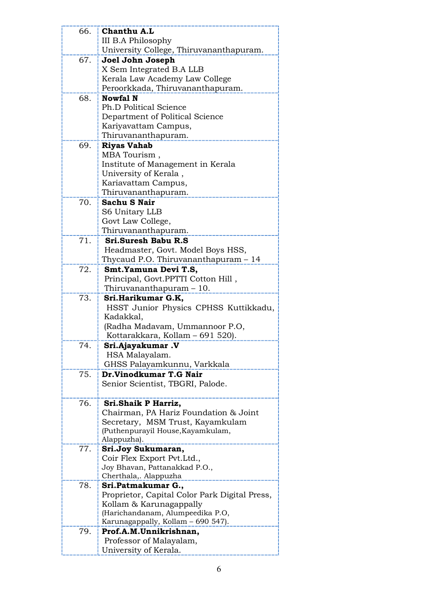| 66. | Chanthu A.L                                      |
|-----|--------------------------------------------------|
|     | III B.A Philosophy                               |
|     | University College, Thiruvananthapuram.          |
| 67. | Joel John Joseph                                 |
|     | X Sem Integrated B.A LLB                         |
|     | Kerala Law Academy Law College                   |
|     | Peroorkkada, Thiruvananthapuram.                 |
| 68. | <b>Nowfal N</b>                                  |
|     | <b>Ph.D Political Science</b>                    |
|     | Department of Political Science                  |
|     | Kariyavattam Campus,                             |
|     | Thiruvananthapuram.                              |
| 69. | <b>Riyas Vahab</b>                               |
|     | MBA Tourism,                                     |
|     | Institute of Management in Kerala                |
|     | University of Kerala,                            |
|     | Kariavattam Campus,                              |
| 70. | Thiruvananthapuram.<br><b>Sachu S Nair</b>       |
|     | S6 Unitary LLB                                   |
|     | Govt Law College,                                |
|     | Thiruvananthapuram.                              |
| 71. | <b>Sri.Suresh Babu R.S</b>                       |
|     | Headmaster, Govt. Model Boys HSS,                |
|     | Thycaud P.O. Thiruvananthapuram - 14             |
| 72. | Smt.Yamuna Devi T.S,                             |
|     | Principal, Govt.PPTTI Cotton Hill,               |
|     | Thiruvananthapuram - 10.                         |
| 73. | Sri.Harikumar G.K,                               |
|     | HSST Junior Physics CPHSS Kuttikkadu,            |
|     | Kadakkal,                                        |
|     | (Radha Madavam, Ummannoor P.O,                   |
|     | Kottarakkara, Kollam - 691 520).                 |
| 74  | Sri.Ajayakumar .V                                |
|     | HSA Malayalam.                                   |
|     | GHSS Palayamkunnu, Varkkala                      |
| 75. | Dr.Vinodkumar T.G Nair                           |
|     | Senior Scientist, TBGRI, Palode.                 |
|     |                                                  |
| 76. | Sri.Shaik P Harriz,                              |
|     | Chairman, PA Hariz Foundation & Joint            |
|     | Secretary, MSM Trust, Kayamkulam                 |
|     | (Puthenpurayil House, Kayamkulam,                |
|     | Alappuzha).                                      |
| 77. | Sri.Joy Sukumaran,<br>Coir Flex Export Pvt.Ltd., |
|     | Joy Bhavan, Pattanakkad P.O.,                    |
|     | Cherthala,. Alappuzha                            |
| 78. | Sri.Patmakumar G.,                               |
|     | Proprietor, Capital Color Park Digital Press,    |
|     | Kollam & Karunagappally                          |
|     | (Harichandanam, Alumpeedika P.O,                 |
|     | Karunagappally, Kollam - 690 547).               |
| 79. | Prof.A.M.Unnikrishnan,                           |
|     | Professor of Malayalam,                          |
|     | University of Kerala.                            |